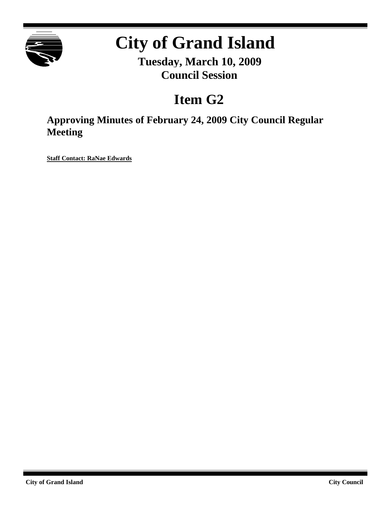

# **City of Grand Island**

**Tuesday, March 10, 2009 Council Session**

## **Item G2**

**Approving Minutes of February 24, 2009 City Council Regular Meeting**

**Staff Contact: RaNae Edwards**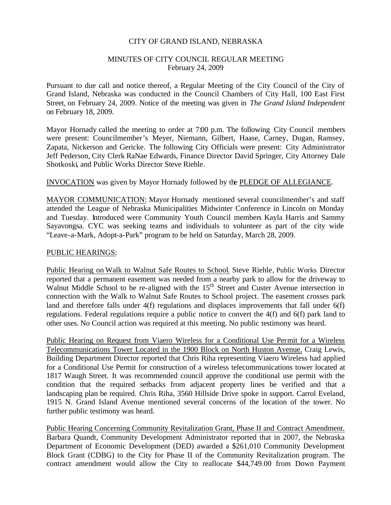#### CITY OF GRAND ISLAND, NEBRASKA

#### MINUTES OF CITY COUNCIL REGULAR MEETING February 24, 2009

Pursuant to due call and notice thereof, a Regular Meeting of the City Council of the City of Grand Island, Nebraska was conducted in the Council Chambers of City Hall, 100 East First Street, on February 24, 2009. Notice of the meeting was given in *The Grand Island Independent* on February 18, 2009.

Mayor Hornady called the meeting to order at 7:00 p.m. The following City Council members were present: Councilmember's Meyer, Niemann, Gilbert, Haase, Carney, Dugan, Ramsey, Zapata, Nickerson and Gericke. The following City Officials were present: City Administrator Jeff Pederson, City Clerk RaNae Edwards, Finance Director David Springer, City Attorney Dale Shotkoski, and Public Works Director Steve Riehle.

#### INVOCATION was given by Mayor Hornady followed by the PLEDGE OF ALLEGIANCE.

MAYOR COMMUNICATION: Mayor Hornady mentioned several councilmember's and staff attended the League of Nebraska Municipalities Midwinter Conference in Lincoln on Monday and Tuesday. Introduced were Community Youth Council members Kayla Harris and Sammy Sayavongsa. CYC was seeking teams and individuals to volunteer as part of the city wide "Leave-a-Mark, Adopt-a-Park" program to be held on Saturday, March 28, 2009.

#### PUBLIC HEARINGS:

Public Hearing on Walk to Walnut Safe Routes to School. Steve Riehle, Public Works Director reported that a permanent easement was needed from a nearby park to allow for the driveway to Walnut Middle School to be re-aligned with the  $15<sup>th</sup>$  Street and Custer Avenue intersection in connection with the Walk to Walnut Safe Routes to School project. The easement crosses park land and therefore falls under 4(f) regulations and displaces improvements that fall under 6(f) regulations. Federal regulations require a public notice to convert the 4(f) and 6(f) park land to other uses. No Council action was required at this meeting. No public testimony was heard.

Public Hearing on Request from Viaero Wireless for a Conditional Use Permit for a Wireless Telecommunications Tower Located in the 1900 Block on North Huston Avenue. Craig Lewis, Building Department Director reported that Chris Riha representing Viaero Wireless had applied for a Conditional Use Permit for construction of a wireless telecommunications tower located at 1817 Waugh Street. It was recommended council approve the conditional use permit with the condition that the required setbacks from adjacent property lines be verified and that a landscaping plan be required. Chris Riha, 3560 Hillside Drive spoke in support. Carrol Eveland, 1915 N. Grand Island Avenue mentioned several concerns of the location of the tower. No further public testimony was heard.

Public Hearing Concerning Community Revitalization Grant, Phase II and Contract Amendment. Barbara Quandt, Community Development Administrator reported that in 2007, the Nebraska Department of Economic Development (DED) awarded a \$261,010 Community Development Block Grant (CDBG) to the City for Phase II of the Community Revitalization program. The contract amendment would allow the City to reallocate \$44,749.00 from Down Payment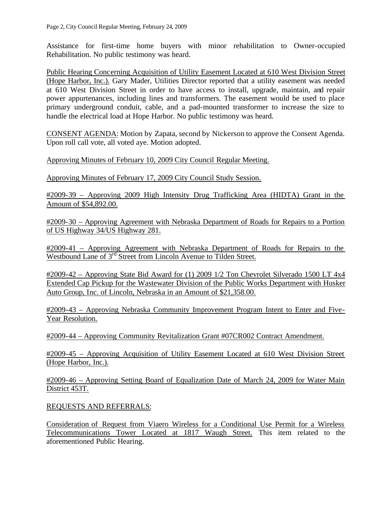Assistance for first-time home buyers with minor rehabilitation to Owner-occupied Rehabilitation. No public testimony was heard.

Public Hearing Concerning Acquisition of Utility Easement Located at 610 West Division Street (Hope Harbor, Inc.). Gary Mader, Utilities Director reported that a utility easement was needed at 610 West Division Street in order to have access to install, upgrade, maintain, and repair power appurtenances, including lines and transformers. The easement would be used to place primary underground conduit, cable, and a pad-mounted transformer to increase the size to handle the electrical load at Hope Harbor. No public testimony was heard.

CONSENT AGENDA: Motion by Zapata, second by Nickerson to approve the Consent Agenda. Upon roll call vote, all voted aye. Motion adopted.

Approving Minutes of February 10, 2009 City Council Regular Meeting.

Approving Minutes of February 17, 2009 City Council Study Session.

#2009-39 – Approving 2009 High Intensity Drug Trafficking Area (HIDTA) Grant in the Amount of \$54,892.00.

#2009-30 – Approving Agreement with Nebraska Department of Roads for Repairs to a Portion of US Highway 34/US Highway 281.

#2009-41 – Approving Agreement with Nebraska Department of Roads for Repairs to the Westbound Lane of 3<sup>rd</sup> Street from Lincoln Avenue to Tilden Street.

#2009-42 – Approving State Bid Award for (1) 2009 1/2 Ton Chevrolet Silverado 1500 LT 4x4 Extended Cap Pickup for the Wastewater Division of the Public Works Department with Husker Auto Group, Inc. of Lincoln, Nebraska in an Amount of \$21,358.00.

#2009-43 – Approving Nebraska Community Improvement Program Intent to Enter and Five-Year Resolution.

#2009-44 – Approving Community Revitalization Grant #07CR002 Contract Amendment.

#2009-45 – Approving Acquisition of Utility Easement Located at 610 West Division Street (Hope Harbor, Inc.).

#2009-46 – Approving Setting Board of Equalization Date of March 24, 2009 for Water Main District 453T.

REQUESTS AND REFERRALS:

Consideration of Request from Viaero Wireless for a Conditional Use Permit for a Wireless Telecommunications Tower Located at 1817 Waugh Street. This item related to the aforementioned Public Hearing.